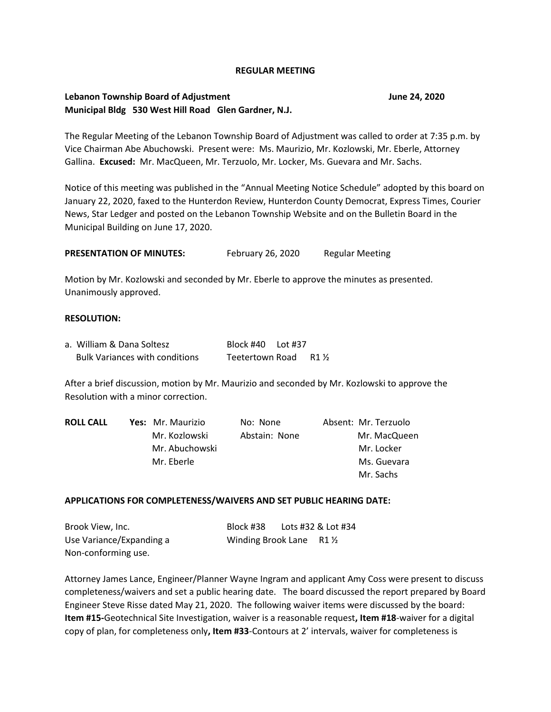#### **REGULAR MEETING**

## **Lebanon Township Board of Adjustment June 24, 2020 Municipal Bldg 530 West Hill Road Glen Gardner, N.J.**

The Regular Meeting of the Lebanon Township Board of Adjustment was called to order at 7:35 p.m. by Vice Chairman Abe Abuchowski. Present were: Ms. Maurizio, Mr. Kozlowski, Mr. Eberle, Attorney Gallina. **Excused:** Mr. MacQueen, Mr. Terzuolo, Mr. Locker, Ms. Guevara and Mr. Sachs.

Notice of this meeting was published in the "Annual Meeting Notice Schedule" adopted by this board on January 22, 2020, faxed to the Hunterdon Review, Hunterdon County Democrat, Express Times, Courier News, Star Ledger and posted on the Lebanon Township Website and on the Bulletin Board in the Municipal Building on June 17, 2020.

**PRESENTATION OF MINUTES:** February 26, 2020 Regular Meeting

Motion by Mr. Kozlowski and seconded by Mr. Eberle to approve the minutes as presented. Unanimously approved.

#### **RESOLUTION:**

| a. William & Dana Soltesz             | Block #40    Lot #37 |      |
|---------------------------------------|----------------------|------|
| <b>Bulk Variances with conditions</b> | Teetertown Road      | R1 ½ |

After a brief discussion, motion by Mr. Maurizio and seconded by Mr. Kozlowski to approve the Resolution with a minor correction.

| <b>ROLL CALL</b> | Yes: Mr. Maurizio | No: None      | Absent: Mr. Terzuolo |
|------------------|-------------------|---------------|----------------------|
|                  | Mr. Kozlowski     | Abstain: None | Mr. MacQueen         |
|                  | Mr. Abuchowski    |               | Mr. Locker           |
|                  | Mr. Eberle        |               | Ms. Guevara          |
|                  |                   |               | Mr. Sachs            |

#### **APPLICATIONS FOR COMPLETENESS/WAIVERS AND SET PUBLIC HEARING DATE:**

| Brook View, Inc.         | Block #38                          | Lots #32 & Lot #34 |
|--------------------------|------------------------------------|--------------------|
| Use Variance/Expanding a | Winding Brook Lane $R1\frac{1}{2}$ |                    |
| Non-conforming use.      |                                    |                    |

Attorney James Lance, Engineer/Planner Wayne Ingram and applicant Amy Coss were present to discuss completeness/waivers and set a public hearing date. The board discussed the report prepared by Board Engineer Steve Risse dated May 21, 2020. The following waiver items were discussed by the board: **Item #15-**Geotechnical Site Investigation, waiver is a reasonable request**, Item #18**-waiver for a digital copy of plan, for completeness only**, Item #33**-Contours at 2' intervals, waiver for completeness is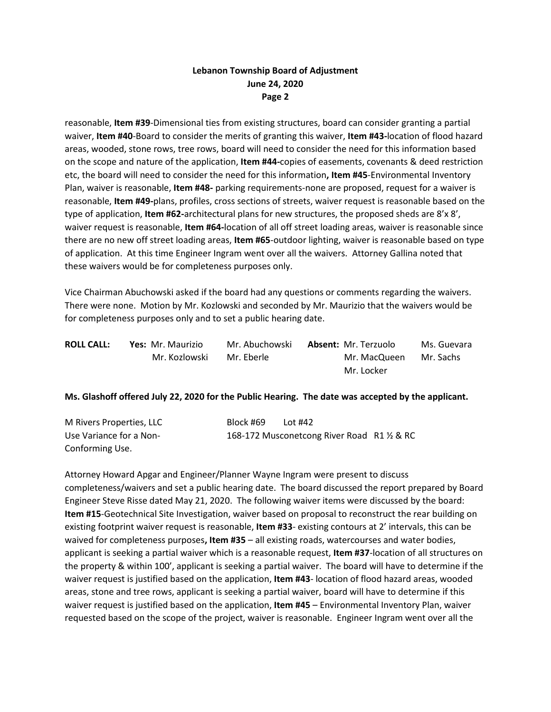# **Lebanon Township Board of Adjustment June 24, 2020 Page 2**

reasonable, **Item #39**-Dimensional ties from existing structures, board can consider granting a partial waiver, **Item #40**-Board to consider the merits of granting this waiver, **Item #43-**location of flood hazard areas, wooded, stone rows, tree rows, board will need to consider the need for this information based on the scope and nature of the application, **Item #44-**copies of easements, covenants & deed restriction etc, the board will need to consider the need for this information**, Item #45**-Environmental Inventory Plan, waiver is reasonable, **Item #48-** parking requirements-none are proposed, request for a waiver is reasonable, **Item #49-**plans, profiles, cross sections of streets, waiver request is reasonable based on the type of application, **Item #62-**architectural plans for new structures, the proposed sheds are 8'x 8', waiver request is reasonable, **Item #64-**location of all off street loading areas, waiver is reasonable since there are no new off street loading areas, **Item #65**-outdoor lighting, waiver is reasonable based on type of application. At this time Engineer Ingram went over all the waivers. Attorney Gallina noted that these waivers would be for completeness purposes only.

Vice Chairman Abuchowski asked if the board had any questions or comments regarding the waivers. There were none. Motion by Mr. Kozlowski and seconded by Mr. Maurizio that the waivers would be for completeness purposes only and to set a public hearing date.

| <b>ROLL CALL:</b> | Yes: Mr. Maurizio | Mr. Abuchowski | <b>Absent: Mr. Terzuolo</b> | Ms. Guevara |
|-------------------|-------------------|----------------|-----------------------------|-------------|
|                   | Mr. Kozlowski     | Mr. Eberle     | Mr. MacQueen                | Mr. Sachs   |
|                   |                   |                | Mr. Locker                  |             |

### **Ms. Glashoff offered July 22, 2020 for the Public Hearing. The date was accepted by the applicant.**

| M Rivers Properties, LLC | Block #69 | Lot #42                                     |  |
|--------------------------|-----------|---------------------------------------------|--|
| Use Variance for a Non-  |           | 168-172 Musconetcong River Road R1 1/2 & RC |  |
| Conforming Use.          |           |                                             |  |

Attorney Howard Apgar and Engineer/Planner Wayne Ingram were present to discuss completeness/waivers and set a public hearing date. The board discussed the report prepared by Board Engineer Steve Risse dated May 21, 2020. The following waiver items were discussed by the board: **Item #15**-Geotechnical Site Investigation, waiver based on proposal to reconstruct the rear building on existing footprint waiver request is reasonable, **Item #33**- existing contours at 2' intervals, this can be waived for completeness purposes**, Item #35** – all existing roads, watercourses and water bodies, applicant is seeking a partial waiver which is a reasonable request, **Item #37**-location of all structures on the property & within 100', applicant is seeking a partial waiver. The board will have to determine if the waiver request is justified based on the application, **Item #43**- location of flood hazard areas, wooded areas, stone and tree rows, applicant is seeking a partial waiver, board will have to determine if this waiver request is justified based on the application, **Item #45** – Environmental Inventory Plan, waiver requested based on the scope of the project, waiver is reasonable. Engineer Ingram went over all the